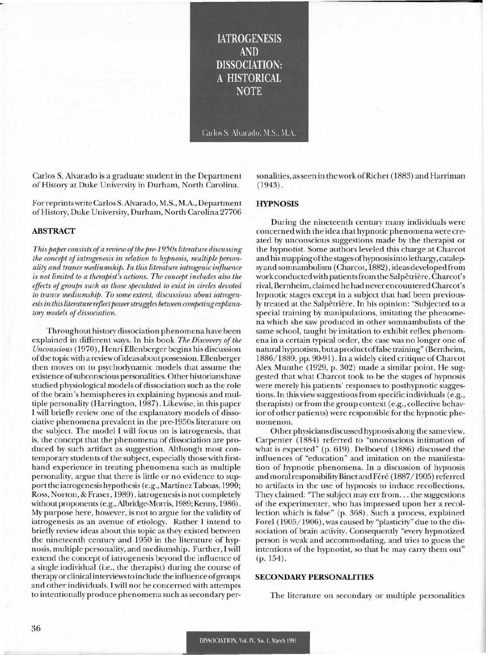**IATROGENESIS AND DISSOCIATION:** A HISTORICAL **NOTE** 

Carlos S. Alvarado, M.S., M.A.

Carlos S. Alvarado is a graduate student in the Department of History at Duke University in Durham, North Carolina.

Forreprints write Carlos S.Alvarado, M.S., M.A., Department ofHistory, Duke University, Durham, North Carolina 27706

#### **ABSTRACT**

*This paper consists ofa review ofthe pre-1950s literature discussing the concept ofiatrogenesis in relation to hypnosis, multiple personality and trance mediumship. In this literature iatrogenic influence* is *not limited to a therapist's actions. The concept includes also the effects ofgroups such as those speculated to exist in circles devoted to trance mediumship. To some extent, discussions about iatrogen* $e$ sis in this *literature reflect power struggles between competing explanatory models* of dissociation.

Throughout history dissociation phenomena have been explained in different ways. In his book *The Discovery* of the *Unconscious* (1970) , Henri Ellenberger begins his discussion ofthe topicwith a reviewofideas about possession. Ellenberger then moves on to psychodynamic models that assume the existence ofsubconscious personalities. Other historians have studied physiological models of dissociation such as the role of the brain's hemispheres in explaining hypnosis and multiple personality (Harrington, 1987). Likewise, in this paper I will briefly review one of the explanatory models of dissociative phenomena prevalent in the pre-1950s literature on the subject. The model I will focus on is iatrogenesis, that is, the concept that the phenomena of dissociation are produced by such artifact as suggestion. Although most contemporary students of the subject, especially those with firsthand experience in treating phenomena such as multiple personality, argue that there is little or no evidence to support the iatrogenesis hypothesis (e.g., Martinez Taboas, 1990; Ross, Norton, & Fraser, 1989), iatrogenesisis not completely without proponents (e.g., Albridge-Morris, 1989; Kenny, 1986). My purpose here, however, is not to argue for the validity of iatrogenesis as an avenue of etiology. Rather I intend to briefly review ideas about this topic as they existeq between the nineteenth century and 1950 in the literature of hypnosis, multiple personality, and mediumship. Further, I will extend the concept of iatrogenesis beyond the influence of a single individual (i.e., the therapist) during the course of therapy or clinical interviewsto include the influence ofgroups and other individuals. I will not be concerned with attempts to intentionally produce phenomena such as secondary personalities, asseen in theworkofRichet (1883) and Harriman (1943).

## **HYPNOSIS**

During the nineteenth century many individuals were concerned with the idea that hypnotic phenomenawere created by unconscious suggestions made by the therapist or the hypnotist. Some authors leveled this charge at Charcot and his mapping of the stages of hypnosis into lethargy, catalepsy and somnambulism (Charcot, 1882), ideas developed from work conducted with patients from the Salpêtrière. Charcot's rival, Bernheim, claimed he had never encountered Charcot's hypnotic stages except in a subject that had been previously treated at the Salpêtrière. In his opinion: "Subjected to a special training by manipulations, imitating the phenomena which she saw produced in other somnambulists of the same school, taught by imitation to exhibit reflex phenomena in a certain typical order, the case was no longer one of natural hypnotism, buta productoffalse training" (Bernheim, 1886/1889, pp. 90-91). In a widely cited critique ofCharcot Alex Munthe (1929, p. 302) made a similar point. He suggested that what Charcot took to be the stages of hypnosis were merely his patients' responses to posthypnotic suggestions. In this view suggestionsfrom specific individuals (e.g., therapists) orfrom the group context (e.g., collective behavior of other patients) were responsible for the hypnotic phenomenon.

Other physicians discussed hypnosis along the same view. Carpenter (1884) referred to "unconscious intimation of what is expected" (p. 619). Delboeuf (1886) discussed the influences of "education" and imitation on the manifestation of hypnotic phenomena. In a discussion of hypnosis and moral responsibility Binet and Féré (1887/1905) referred to artifacts in the use of hypnosis to induce recollections. They claimed: "The subject may err from... the suggestions of the experimenter, who has impressed upon her a recollection which is false" (p. 368). Such a process, explained Forel (1905/1906), was caused by "plasticity" due to the dissociation of brain activity. Consequently "every hypnotized person is weak and accommodating, and tries to guess the intentions of the hypnotist, so that he may carry them out" (p. 154).

# **SECONDARY PERSONALITIES**

The literature on secondary or multiple personalities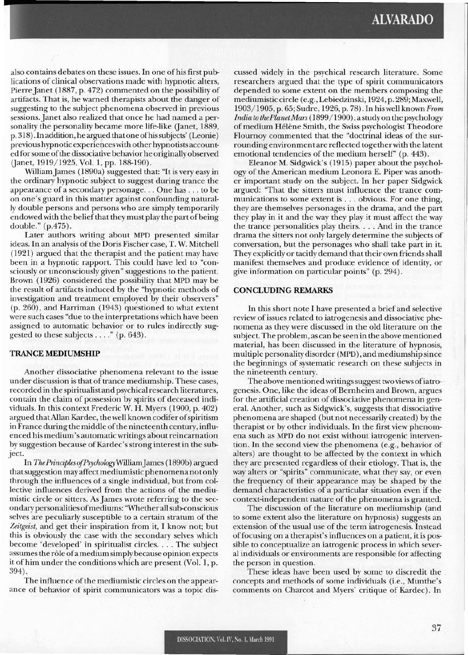also contains debates on these issues. In one of his first publications of clinical observations made with hypnotic alters, Pierre Janet (1887, p. 472) commented on the possibility of artifacts. That is, he warned therapists about the danger of suggesting to the subject phenomena observed in previous sessions. Janet also realized that once he had named a personality the personality became more life-like (Janet, 1889, p. 318). In addition, he argued that one of his subjects' (Leonie) previous hypnotic experienceswith other hypnotists accountedforsome ofthe dissociative behavior he originallyobserved (Janet, 1919/1925, Vol. 1, pp. 188-190).

WilliamJames (1890a) suggested that: "It is very easy in the ordinary hypnotic subject to suggest during trance the appearance of <sup>a</sup> secondary personage... One has ... to be on one's guard in this matter against confounding naturally double persons and persons who are simply temporarily endowed with the belief that they must play the part of being double." (p.475).

Later authors writing about MPD presented similar ideas. In an analysis of the Doris Fischer case, T. W. Mitchell (1921) argued that the therapist and the patient may have been in a hypnotic rapport. This could have led to "consciously or unconsciously given" suggestions to the patient. Brown (1926) considered the possibility that MPD may be the result of artifacts induced by the "hypnotic methods of investigation and treatment employed by their observers" (p. 260), and Harriman (1943) questioned to what extent were such cases "due to the interpretations which have been assigned to automatic behavior or to rules indirectly suggested to these subjects ...." (p. 643).

### **TRANCE MEDIUMSHIP**

Another dissociative phenomena relevant to the issue under discussion is that of trance mediumship. These cases, recorded in the spiritualist and psychical research literatures, contain the claim of possession by spirits of deceased individuals. In this context Frederic W. H. Myers (1900, p. 402) argued that Allan Kardec, the well known codifer of spiritism in France during the middle ofthe nineteenth century, influenced his medium's automatic writings about reincarnation by suggestion because of Kardec's strong interest in the subject.

In *ThePrinciplesofPsychologyWilliamJames* (1890b) argued thatsuggestion may affect mediumistic phenomena not only through the influences of a single individual, but from collective influences derived from the actions of the mediumistic circle or sitters. As James wrote referring to the secondarypersonalities ofmediums: ''Whether allsub-conscious selves are peculiarly susceptible to a certain stratum of the *Zeitgeist,* and get their inspiration from it, I know not; but this is obviously the case with the secondary selves which become 'developed' in spiritualist circles.... The subject assumes the rôle of a medium simply because opinion expects it of him under the conditions which are present (Vol. 1, p. 394).

The influence of the mediumistic circles on the appearance of behavior of spirit communicators was a topic discussed widely in the psychical research literature. Some researchers argued that the type of spirit communicators depended to some extent on the members composing the mediumistic circle (e.g., Lebiedzinski, 1924, p. 289; Maxwell, 1903/1905, p. 65; Sudre, 1926, p. 78). In his well known *From India to thePlanetMars* (1899/1900), a study on the psychology of medium Hélène Smith, the Swiss psychologist Theodore Flournoy commented that the "doctrinal ideas of the surrounding environment are reflected togetherwith the latent emotional tendencies of the medium herself' (p. 443).

Eleanor M. Sidgwick's (1915) paper about the psychology of the American medium Leonora E. Piper was another important study on the subject. In her paper Sidgwick argued: "That the sitters must influence the trance communications to some extent is ... obvious. For one thing, they are themselves personages in the drama, and the part they play in it and the way they play it must affect the way the trance personalities play theirs.... And in the trance drama the sitters not only largely determine the subjects of conversation, but the personages who shall take part in it. They explicitly or tacitly demand that their own friends shall manifest themselves and produce evidence of identity, or give information on particular points" (p. 294).

# **CONCLUDING REMARKS**

In this short note I have presen ted a brief and selective review of issues related to iatrogenesis and dissociative phenomena as they were discussed in the old literature on the subject. The problem, as can be seen in the above mentioned material, has been discussed in the literature of hypnosis, multiple personality disorder (MPD), and mediumship since the beginnings of systematic research on these subjects in the nineteenth century.

The above mentionedwritingssuggest two views ofiatro- . genesis. One, like the ideas of Bernheim and Brown, argues for the artificial creation of dissociative phenomena in general. Another, such as Sidgwick's, suggests that dissociative phenomena are shaped (but not necessarily created) by the therapist or by other individuals. In the first view phenomena such as MPD do not exist without iatrogenic intervention. In the second view the phenomena (e.g., behavior of alters) are thought to be affected by the context in which they are presented regardless of their etiology. That is, the way alters or "spirits" communicate, what they say, or even the frequency of their appearance may be shaped by the demand characteristics of a particular situation even if the context-independent nature of the phenomena is granted.

The discussion of the literature on mediumship (and to some extent also the literature on hypnosis) suggests an extension of the usual use of the term iatrogenesis. Instead offocusing on a therapist's influences on a patient, it is possible to conceptualize an iatrogenic process in which several individuals or environments are responsible for affecting the person in question.

These ideas have been used by some to discredit the . concepts and methods of some individuals (i.e., Munthe's comments on Charcot and Myers' critique of Kardec). In